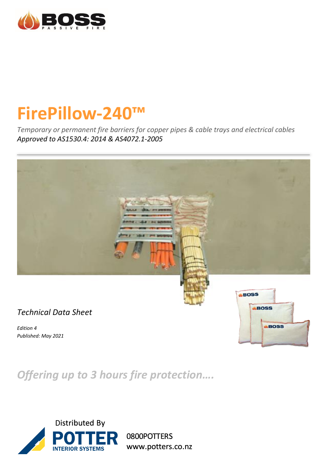

# **FirePillow-240™**

*Temporary or permanent fire barriers for copper pipes & cable trays and electrical cables Approved to AS1530.4: 2014 & AS4072.1-2005*



*Offering up to 3 hours fire protection….*



0800POTTERS www.potters.co.nz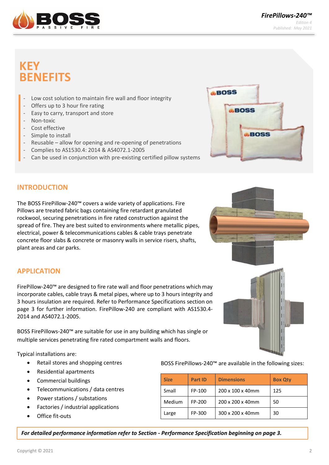

 *FirePillows-240™ Edition 4 Published: May 2021*

# **KEY BENEFITS**

- Low cost solution to maintain fire wall and floor integrity
- Offers up to 3 hour fire rating
- Easy to carry, transport and store
- Non-toxic
- Cost effective
- Simple to install
- Reusable allow for opening and re-opening of penetrations
- Complies to AS1530.4: 2014 & AS4072.1-2005
- Can be used in conjunction with pre-existing certified pillow systems



#### **INTRODUCTION**

The BOSS FirePillow-240™ covers a wide variety of applications. Fire Pillows are treated fabric bags containing fire retardant granulated rockwool, securing penetrations in fire rated construction against the spread of fire. They are best suited to environments where metallic pipes, electrical, power & telecommunications cables & cable trays penetrate concrete floor slabs & concrete or masonry walls in service risers, shafts, plant areas and car parks.



# **APPLICATION**

FirePillow-240™ are designed to fire rate wall and floor penetrations which may incorporate cables, cable trays & metal pipes, where up to 3 hours integrity and 3 hours insulation are required. Refer to Performance Specifications section on page 3 for further information. FirePillow-240 are compliant with AS1530.4- 2014 and AS4072.1-2005.

BOSS FirePillows-240™ are suitable for use in any building which has single or multiple services penetrating fire rated compartment walls and floors.

Typical installations are:

- Retail stores and shopping centres
- Residential apartments
- Commercial buildings
- Telecommunications / data centres
- Power stations / substations
- Factories / industrial applications
- Office fit-outs

BOSS FirePillows-240™ are available in the following sizes:

| <b>Size</b> | Part ID | <b>Dimensions</b> | <b>Box Qty</b> |
|-------------|---------|-------------------|----------------|
| Small       | FP-100  | 200 x 100 x 40mm  | 125            |
| Medium      | FP-200  | 200 x 200 x 40mm  | 50             |
| Large       | FP-300  | 300 x 200 x 40mm  | 30             |

*For detailed performance information refer to Section - Performance Specification beginning on page 3.*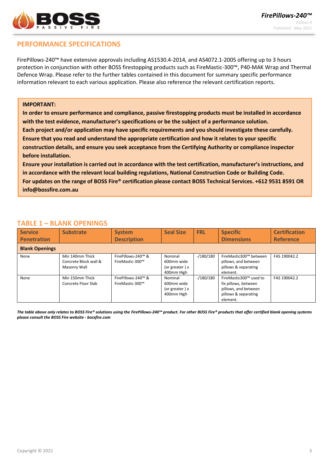

# **PERFORMANCE SPECIFICATIONS**

FirePillows-240™ have extensive approvals including AS1530.4-2014, and AS4072.1-2005 offering up to 3 hours protection in conjunction with other BOSS firestopping products such as FireMastic-300™, P40-MAK Wrap and Thermal Defence Wrap. Please refer to the further tables contained in this document for summary specific performance information relevant to each various application. Please also reference the relevant certification reports.

#### **IMPORTANT:**

**In order to ensure performance and compliance, passive firestopping products must be installed in accordance with the test evidence, manufacturer's specifications or be the subject of a performance solution. Each project and/or application may have specific requirements and you should investigate these carefully. Ensure that you read and understand the appropriate certification and how it relates to your specific construction details, and ensure you seek acceptance from the Certifying Authority or compliance inspector before installation.** 

**Ensure your installation is carried out in accordance with the test certification, manufacturer's instructions, and in accordance with the relevant local building regulations, National Construction Code or Building Code. For updates on the range of BOSS Fire® certification please contact BOSS Technical Services. +612 9531 8591 OR [info@bossfire.com.au](mailto:info@bossfire.com.au)**

#### **TABLE 1 – BLANK OPENINGS**

| <b>Service</b>        | <b>Substrate</b>                                         | <b>System</b>                         | <b>Seal Size</b>                                        | <b>FRL</b> | <b>Specific</b>                                                                                            | <b>Certification</b> |  |
|-----------------------|----------------------------------------------------------|---------------------------------------|---------------------------------------------------------|------------|------------------------------------------------------------------------------------------------------------|----------------------|--|
| <b>Penetration</b>    |                                                          | <b>Description</b>                    |                                                         |            | <b>Dimensions</b>                                                                                          | <b>Reference</b>     |  |
| <b>Blank Openings</b> |                                                          |                                       |                                                         |            |                                                                                                            |                      |  |
| None                  | Min 140mm Thick<br>Concrete Block wall &<br>Masonry Wall | FirePillows-240™ &<br>FireMastic-300™ | Nominal<br>600mm wide<br>(or greater) $x$<br>400mm High | $-180/180$ | FireMastic300™ between<br>pillows, and between<br>pillows & separating<br>element.                         | FAS 190042.2         |  |
| None                  | Min 150mm Thick<br>Concrete Floor Slab                   | FirePillows-240™ &<br>FireMastic-300™ | Nominal<br>600mm wide<br>(or greater) $x$<br>400mm High | $-180/180$ | FireMastic300™ used to<br>fix pillows, between<br>pillows, and between<br>pillows & separating<br>element. | FAS 190042.2         |  |

*The table above only relates to BOSS Fire® solutions using the FirePillows-240™ product. For other BOSS Fire® products that offer certified blank opening systems please consult the BOSS Fire website - bossfire.com*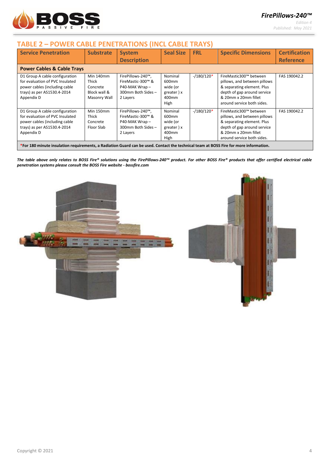

*FirePillows-240™*

*Edition 4 Published: May 2021*

### **TABLE 2 – POWER CABLE PENETRATIONS (INCL CABLE TRAYS)**

| <b>Service Penetration</b>                                                                                                                      | <b>Substrate</b>                                               | <b>System</b><br><b>Description</b>                                                      | <b>Seal Size</b>                                                        | <b>FRL</b>  | <b>Specific Dimensions</b>                                                                                                                                                | <b>Certification</b><br><b>Reference</b> |
|-------------------------------------------------------------------------------------------------------------------------------------------------|----------------------------------------------------------------|------------------------------------------------------------------------------------------|-------------------------------------------------------------------------|-------------|---------------------------------------------------------------------------------------------------------------------------------------------------------------------------|------------------------------------------|
| <b>Power Cables &amp; Cable Trays</b>                                                                                                           |                                                                |                                                                                          |                                                                         |             |                                                                                                                                                                           |                                          |
| D1 Group A cable configuration<br>for evaluation of PVC Insulated<br>power cables (including cable<br>trays) as per AS1530.4-2014<br>Appendix D | Min 140mm<br>Thick<br>Concrete<br>Block wall &<br>Masonry Wall | FirePillows-240™,<br>FireMastic-300™ &<br>P40-MAK Wrap-<br>300mm Both Sides-<br>2 Layers | Nominal<br>600 <sub>mm</sub><br>wide (or<br>greater) x<br>400mm<br>High | $-180/120*$ | FireMastic300™ between<br>pillows, and between pillows<br>& separating element. Plus<br>depth of gap around service<br>& 20mm x 20mm fillet<br>around service both sides. | FAS 190042.2                             |
| D1 Group A cable configuration<br>for evaluation of PVC Insulated<br>power cables (including cable<br>trays) as per AS1530.4-2014<br>Appendix D | Min 150mm<br>Thick<br>Concrete<br>Floor Slab                   | FirePillows-240™,<br>FireMastic-300™ &<br>P40-MAK Wrap-<br>300mm Both Sides-<br>2 Layers | Nominal<br>600 <sub>mm</sub><br>wide (or<br>greater) x<br>400mm<br>High | $-180/120*$ | FireMastic300™ between<br>pillows, and between pillows<br>& separating element. Plus<br>depth of gap around service<br>& 20mm x 20mm fillet<br>around service both sides. | FAS 190042.2                             |
| *For 180 minute insulation requirements, a Radiation Guard can be used. Contact the technical team at BOSS Fire for more information.           |                                                                |                                                                                          |                                                                         |             |                                                                                                                                                                           |                                          |

*The table above only relates to BOSS Fire® solutions using the FirePillows-240™ product. For other BOSS Fire® products that offer certified electrical cable penetration systems please consult the BOSS Fire website - bossfire.com*



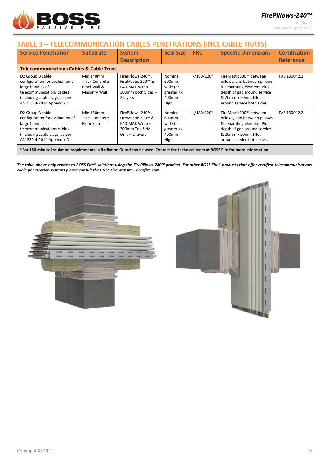

# *FirePillows-240™*

*Edition 4 Published: May 2021*

# **TABLE 3 – TELECOMMUNICATION CABLES PENETRATIONS (INCL CABLE TRAYS)**

| <b>Service Penetration</b>                                                                                                                                         | <b>Substrate</b>                                                   | <b>System</b><br><b>Description</b>                                                           | <b>Seal Size</b>                                                        | <b>FRL</b>  | <b>Specific Dimensions</b>                                                                                                                                                | <b>Certification</b><br><b>Reference</b> |
|--------------------------------------------------------------------------------------------------------------------------------------------------------------------|--------------------------------------------------------------------|-----------------------------------------------------------------------------------------------|-------------------------------------------------------------------------|-------------|---------------------------------------------------------------------------------------------------------------------------------------------------------------------------|------------------------------------------|
| <b>Telecommunications Cables &amp; Cable Trays</b>                                                                                                                 |                                                                    |                                                                                               |                                                                         |             |                                                                                                                                                                           |                                          |
| D2 Group B cable<br>configuration for evaluation of<br>large bundles of<br>telecommunications cables<br>(including cable trays) as per<br>AS1530.4-2014 Appendix D | Min 140mm<br><b>Thick Concrete</b><br>Block wall &<br>Masonry Wall | FirePillows-240™,<br>FireMastic-300™ &<br>P40-MAK Wrap-<br>300mm Both Sides-<br>2 layers      | Nominal<br>600mm<br>wide (or<br>greater) x<br>400mm<br>High             | $-180/120*$ | FireMastic300™ between<br>pillows, and between pillows<br>& separating element. Plus<br>depth of gap around service<br>& 20mm x 20mm fillet<br>around service both sides. | FAS 190042.2                             |
| D2 Group B cable<br>configuration for evaluation of<br>large bundles of<br>telecommunications cables<br>(including cable trays) as per<br>AS1530.4-2014 Appendix D | Min 150mm<br><b>Thick Concrete</b><br>Floor Slab                   | FirePillows-240™,<br>FireMastic-300™ &<br>P40-MAK Wrap-<br>300mm Top Side<br>Only $-2$ layers | Nominal<br>600 <sub>mm</sub><br>wide (or<br>greater) x<br>400mm<br>High | $-180/120*$ | FireMastic300™ between<br>pillows, and between pillows<br>& separating element. Plus<br>depth of gap around service<br>& 20mm x 20mm fillet<br>around service both sides. | FAS 190042.2                             |
| *For 180 minute insulation requirements, a Radiation Guard can be used. Contact the technical team at BOSS Fire for more information.                              |                                                                    |                                                                                               |                                                                         |             |                                                                                                                                                                           |                                          |

*The table above only relates to BOSS Fire® solutions using the FirePillows-240™ product. For other BOSS Fire® products that offer certified telecommunications cable penetration systems please consult the BOSS Fire website - bossfire.com*



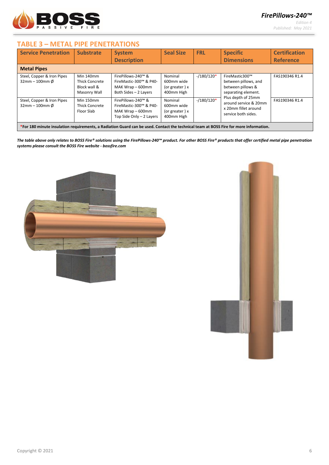

*Edition 4 Published: May 2021*

#### **TABLE 3 – METAL PIPE PENETRATIONS**

| <b>Service Penetration</b>                                                                                                            | <b>Substrate</b>                                                   | <b>System</b>                                                                                | <b>Seal Size</b>                                      | <b>FRL</b>  | <b>Specific</b>                                                                            | <b>Certification</b> |
|---------------------------------------------------------------------------------------------------------------------------------------|--------------------------------------------------------------------|----------------------------------------------------------------------------------------------|-------------------------------------------------------|-------------|--------------------------------------------------------------------------------------------|----------------------|
|                                                                                                                                       |                                                                    | <b>Description</b>                                                                           |                                                       |             | <b>Dimensions</b>                                                                          | <b>Reference</b>     |
| <b>Metal Pipes</b>                                                                                                                    |                                                                    |                                                                                              |                                                       |             |                                                                                            |                      |
| Steel, Copper & Iron Pipes<br>$32$ mm - 100mm Ø                                                                                       | Min 140mm<br><b>Thick Concrete</b><br>Block wall &<br>Masonry Wall | FirePillows-240™ &<br>FireMastic-300™ & P40-<br>MAK Wrap - 600mm<br>Both Sides - 2 Layers    | Nominal<br>600mm wide<br>(or greater) x<br>400mm High | $-180/120*$ | FireMastic300™<br>between pillows, and<br>between pillows &<br>separating element.         | FAS190346 R1.4       |
| Steel, Copper & Iron Pipes<br>$32$ mm - 100mm Ø                                                                                       | Min 150mm<br><b>Thick Concrete</b><br>Floor Slab                   | FirePillows-240™ &<br>FireMastic-300™ & P40-<br>MAK Wrap - 600mm<br>Top Side Only - 2 Layers | Nominal<br>600mm wide<br>(or greater) x<br>400mm High | $-180/120*$ | Plus depth of 25mm<br>around service & 20mm<br>x 20mm fillet around<br>service both sides. | FAS190346 R1.4       |
| *For 180 minute insulation requirements, a Radiation Guard can be used. Contact the technical team at BOSS Fire for more information. |                                                                    |                                                                                              |                                                       |             |                                                                                            |                      |

*The table above only relates to BOSS Fire® solutions using the FirePillows-240™ product. For other BOSS Fire® products that offer certified metal pipe penetration systems please consult the BOSS Fire website - bossfire.com*